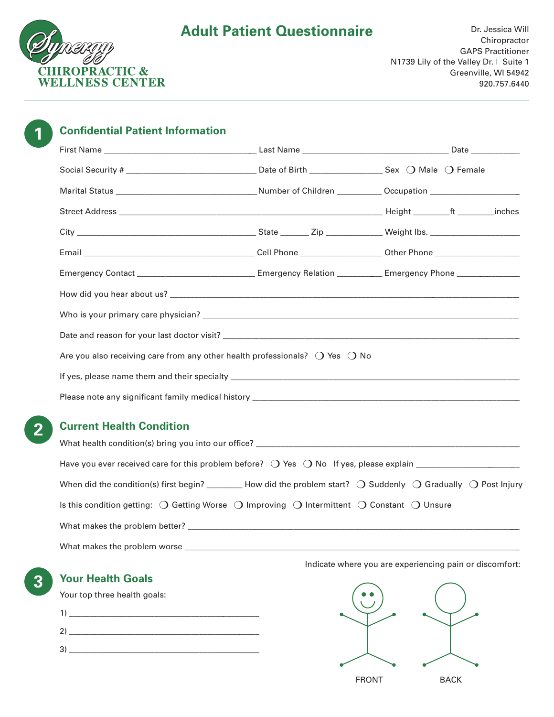

| <b>Confidential Patient Information</b>                                                                        |  |
|----------------------------------------------------------------------------------------------------------------|--|
|                                                                                                                |  |
|                                                                                                                |  |
|                                                                                                                |  |
|                                                                                                                |  |
|                                                                                                                |  |
|                                                                                                                |  |
| Emergency Contact __________________________________Emergency Relation ____________Emergency Phone ___________ |  |
|                                                                                                                |  |
|                                                                                                                |  |
|                                                                                                                |  |
| Are you also receiving care from any other health professionals? $\bigcirc$ Yes $\bigcirc$ No                  |  |
|                                                                                                                |  |
|                                                                                                                |  |

# **Current Health Condition**

| What health condition(s) bring you into our office? _____________________________                                                           |
|---------------------------------------------------------------------------------------------------------------------------------------------|
|                                                                                                                                             |
| When did the condition(s) first begin? _________ How did the problem start? $\bigcirc$ Suddenly $\bigcirc$ Gradually $\bigcirc$ Post Injury |
| Is this condition getting: $\bigcirc$ Getting Worse $\bigcirc$ Improving $\bigcirc$ Intermittent $\bigcirc$ Constant $\bigcirc$ Unsure      |
|                                                                                                                                             |
| What makes the problem worse                                                                                                                |

**3 Your Health Goals**

Your top three health goals:

| $\mathbf{1}$  |  |
|---------------|--|
| $\mathcal{D}$ |  |
| 3             |  |



Indicate where you are experiencing pain or discomfort: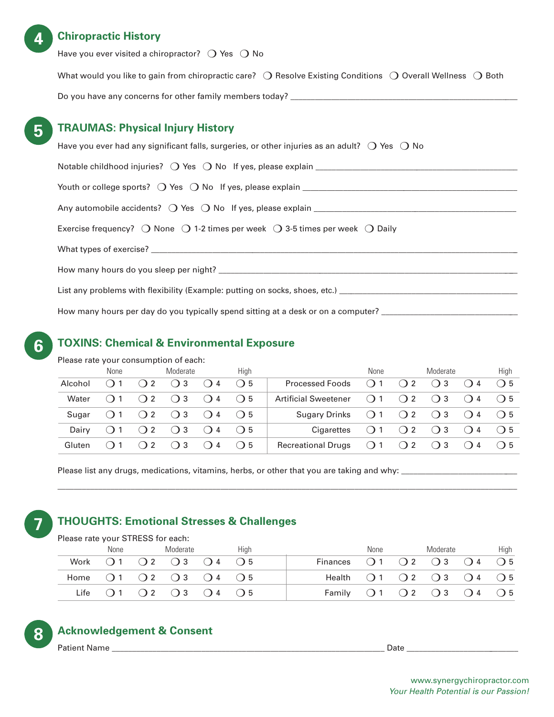## **4 Chiropractic History**

Have you ever visited a chiropractor?  $\bigcirc$  Yes  $\bigcirc$  No

What would you like to gain from chiropractic care?  $\bigcirc$  Resolve Existing Conditions  $\bigcirc$  Overall Wellness  $\bigcirc$  Both Do you have any concerns for other family members today? \_\_\_\_\_\_\_\_\_\_\_\_\_\_\_\_\_\_\_\_\_\_\_

# **5 TRAUMAS: Physical Injury History**

| Have you ever had any significant falls, surgeries, or other injuries as an adult? $\bigcirc$ Yes $\bigcirc$ No  |
|------------------------------------------------------------------------------------------------------------------|
|                                                                                                                  |
|                                                                                                                  |
|                                                                                                                  |
| Exercise frequency? $\bigcirc$ None $\bigcirc$ 1-2 times per week $\bigcirc$ 3-5 times per week $\bigcirc$ Daily |
|                                                                                                                  |
|                                                                                                                  |
| List any problems with flexibility (Example: putting on socks, shoes, etc.) __________________________________   |
| How many hours per day do you typically spend sitting at a desk or on a computer? _________________              |

# **TOXINS: Chemical & Environmental Exposure**

Please rate your consumption of each:

**6**

|         | None |                    | Moderate                                          |                    | Hiah    |                             | None |     | Moderate    |                    | High    |
|---------|------|--------------------|---------------------------------------------------|--------------------|---------|-----------------------------|------|-----|-------------|--------------------|---------|
| Alcohol |      | ()2                | $\left( \begin{array}{c} 1 \end{array} \right)$ 3 | ()4                | $($ ) 5 | <b>Processed Foods</b>      | ()1  | ()2 | ( ) 3       | ()4                | ◯ 5     |
| Water   |      | $($ ) 2            | $\bigcirc$ 3                                      | $\bigcirc$ 4       | $($ ) 5 | <b>Artificial Sweetener</b> | ()1  | ()2 | $($ ) 3     | ()4                | $($ ) 5 |
| Sugar   |      | ()2                | $\bigcirc$ 3                                      | ()4                | $($ ) 5 | <b>Sugary Drinks</b>        | ()1  | ()2 | ()3         | $\left( \right)$ 4 | $($ ) 5 |
| Dairy   |      |                    | $($ ) 2 $($ ) 3                                   | $\left( \right)$ 4 | $($ 5   | Cigarettes                  | ()1  |     | $()2$ $()3$ | $\left( \right)$ 4 | $($ ) 5 |
| Gluten  |      | $\left( \right)$ 2 | ( ) 3                                             | ()4                | $($ ) 5 | <b>Recreational Drugs</b>   | ()1  | ()2 | $($ ) 3     | ()4                | $($ ) 5 |

\_\_\_\_\_\_\_\_\_\_\_\_\_\_\_\_\_\_\_\_\_\_\_\_\_\_\_\_\_\_\_\_\_\_\_\_\_\_\_\_\_\_\_\_\_\_\_\_\_\_\_\_\_\_\_\_\_\_\_\_\_\_\_\_\_\_\_\_\_\_\_\_\_\_\_\_\_\_\_\_\_\_\_\_\_\_\_\_\_\_\_\_\_\_\_\_\_\_\_\_\_\_\_\_\_\_\_\_\_\_\_\_\_

Please list any drugs, medications, vitamins, herbs, or other that you are taking and why: \_\_\_\_\_\_\_\_\_\_\_\_\_\_\_\_\_\_\_\_\_\_\_\_\_\_\_\_\_

# **7 THOUGHTS: Emotional Stresses & Challenges**

| Please rate your STRESS for each: |  |  |
|-----------------------------------|--|--|
|                                   |  |  |

| None | Moderate                                                              | Hiah |  | None | Moderate |                                                                           | High |
|------|-----------------------------------------------------------------------|------|--|------|----------|---------------------------------------------------------------------------|------|
|      | Work $\bigcirc$ 1 $\bigcirc$ 2 $\bigcirc$ 3 $\bigcirc$ 4 $\bigcirc$ 5 |      |  |      |          | Finances $\bigcirc$ 1 $\bigcirc$ 2 $\bigcirc$ 3 $\bigcirc$ 4 $\bigcirc$ 5 |      |
|      | Home $\bigcirc$ 1 $\bigcirc$ 2 $\bigcirc$ 3 $\bigcirc$ 4 $\bigcirc$ 5 |      |  |      |          | Health $\bigcirc$ 1 $\bigcirc$ 2 $\bigcirc$ 3 $\bigcirc$ 4 $\bigcirc$ 5   |      |
|      | Life $\bigcirc$ 1 $\bigcirc$ 2 $\bigcirc$ 3 $\bigcirc$ 4 $\bigcirc$ 5 |      |  |      |          | Family $\bigcirc$ 1 $\bigcirc$ 2 $\bigcirc$ 3 $\bigcirc$ 4 $\bigcirc$ 5   |      |

# **8 Acknowledgement & Consent**

Patient Name \_\_\_\_\_\_\_\_\_\_\_\_\_\_\_\_\_\_\_\_\_\_\_\_\_\_\_\_\_\_\_\_\_\_\_\_\_\_\_\_\_\_\_\_\_\_\_\_\_\_\_\_\_\_\_\_\_\_\_\_\_\_\_\_\_\_\_ Date \_\_\_\_\_\_\_\_\_\_\_\_\_\_\_\_\_\_\_\_\_\_\_\_\_\_\_\_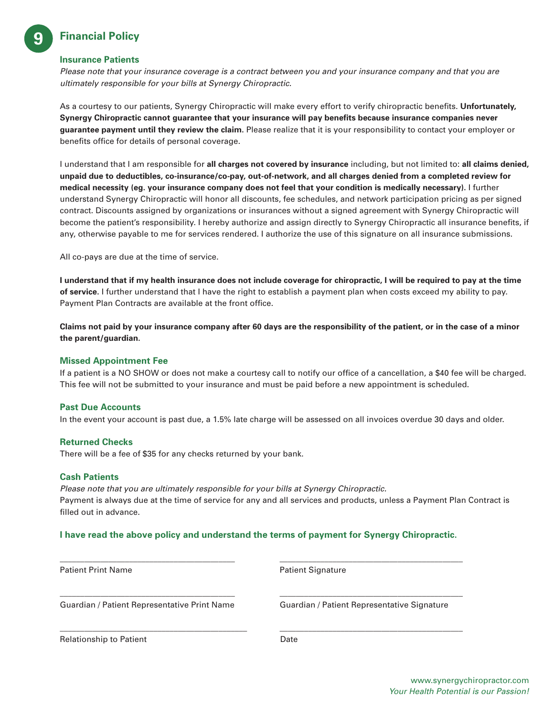# **9 Financial Policy**

#### **Insurance Patients**

*Please note that your insurance coverage is a contract between you and your insurance company and that you are ultimately responsible for your bills at Synergy Chiropractic.*

As a courtesy to our patients, Synergy Chiropractic will make every effort to verify chiropractic benefits. **Unfortunately, Synergy Chiropractic cannot guarantee that your insurance will pay benefits because insurance companies never guarantee payment until they review the claim.** Please realize that it is your responsibility to contact your employer or benefits office for details of personal coverage.

I understand that I am responsible for **all charges not covered by insurance** including, but not limited to: **all claims denied, unpaid due to deductibles, co-insurance/co-pay, out-of-network, and all charges denied from a completed review for medical necessity (eg. your insurance company does not feel that your condition is medically necessary).** I further understand Synergy Chiropractic will honor all discounts, fee schedules, and network participation pricing as per signed contract. Discounts assigned by organizations or insurances without a signed agreement with Synergy Chiropractic will become the patient's responsibility. I hereby authorize and assign directly to Synergy Chiropractic all insurance benefits, if any, otherwise payable to me for services rendered. I authorize the use of this signature on all insurance submissions.

All co-pays are due at the time of service.

**I understand that if my health insurance does not include coverage for chiropractic, I will be required to pay at the time of service.** I further understand that I have the right to establish a payment plan when costs exceed my ability to pay. Payment Plan Contracts are available at the front office.

**Claims not paid by your insurance company after 60 days are the responsibility of the patient, or in the case of a minor the parent/guardian.**

#### **Missed Appointment Fee**

If a patient is a NO SHOW or does not make a courtesy call to notify our office of a cancellation, a \$40 fee will be charged. This fee will not be submitted to your insurance and must be paid before a new appointment is scheduled.

#### **Past Due Accounts**

In the event your account is past due, a 1.5% late charge will be assessed on all invoices overdue 30 days and older.

### **Returned Checks**

There will be a fee of \$35 for any checks returned by your bank.

#### **Cash Patients**

*Please note that you are ultimately responsible for your bills at Synergy Chiropractic.* Payment is always due at the time of service for any and all services and products, unless a Payment Plan Contract is filled out in advance.

#### **I have read the above policy and understand the terms of payment for Synergy Chiropractic.**

| <b>Patient Print Name</b>                    | <b>Patient Signature</b>                    |  |  |  |  |
|----------------------------------------------|---------------------------------------------|--|--|--|--|
| Guardian / Patient Representative Print Name | Guardian / Patient Representative Signature |  |  |  |  |
| <b>Relationship to Patient</b>               | Date                                        |  |  |  |  |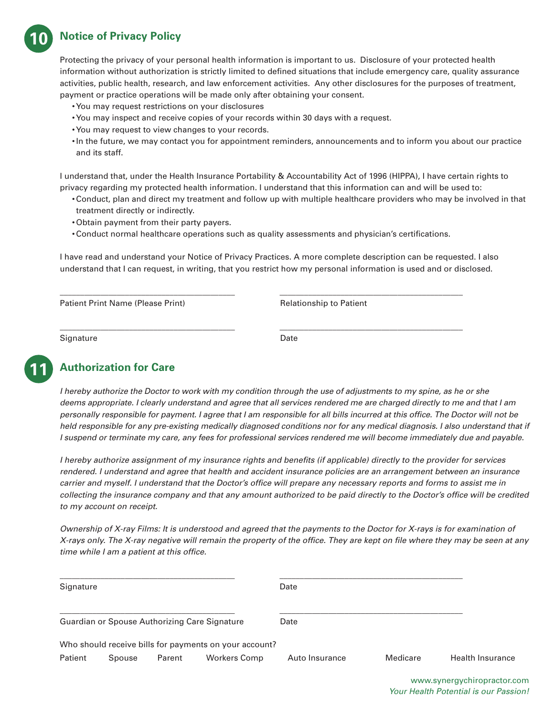# **10 Notice of Privacy Policy**

Protecting the privacy of your personal health information is important to us. Disclosure of your protected health information without authorization is strictly limited to defined situations that include emergency care, quality assurance activities, public health, research, and law enforcement activities. Any other disclosures for the purposes of treatment, payment or practice operations will be made only after obtaining your consent.

- •You may request restrictions on your disclosures
- •You may inspect and receive copies of your records within 30 days with a request.
- •You may request to view changes to your records.
- •In the future, we may contact you for appointment reminders, announcements and to inform you about our practice and its staff.

I understand that, under the Health Insurance Portability & Accountability Act of 1996 (HIPPA), I have certain rights to privacy regarding my protected health information. I understand that this information can and will be used to:

- •Conduct, plan and direct my treatment and follow up with multiple healthcare providers who may be involved in that treatment directly or indirectly.
- •Obtain payment from their party payers.
- •Conduct normal healthcare operations such as quality assessments and physician's certifications.

**\_\_\_\_\_\_\_\_\_\_\_\_\_\_\_\_\_\_\_\_\_\_\_\_\_\_\_\_\_\_\_\_\_\_\_\_\_\_\_\_\_\_\_ \_\_\_\_\_\_\_\_\_\_\_\_\_\_\_\_\_\_\_\_\_\_\_\_\_\_\_\_\_\_\_\_\_\_\_\_\_\_\_\_\_\_\_\_\_**

**\_\_\_\_\_\_\_\_\_\_\_\_\_\_\_\_\_\_\_\_\_\_\_\_\_\_\_\_\_\_\_\_\_\_\_\_\_\_\_\_\_\_\_ \_\_\_\_\_\_\_\_\_\_\_\_\_\_\_\_\_\_\_\_\_\_\_\_\_\_\_\_\_\_\_\_\_\_\_\_\_\_\_\_\_\_\_\_\_**

I have read and understand your Notice of Privacy Practices. A more complete description can be requested. I also understand that I can request, in writing, that you restrict how my personal information is used and or disclosed.

Patient Print Name (Please Print) Relationship to Patient

Signature Date

# **11 Authorization for Care**

*I* hereby authorize the Doctor to work with my condition through the use of adjustments to my spine, as he or she *deems appropriate. I clearly understand and agree that all services rendered me are charged directly to me and that I am personally responsible for payment. I agree that I am responsible for all bills incurred at this office. The Doctor will not be held responsible for any pre-existing medically diagnosed conditions nor for any medical diagnosis. I also understand that if I suspend or terminate my care, any fees for professional services rendered me will become immediately due and payable.*

*I hereby authorize assignment of my insurance rights and benefits (if applicable) directly to the provider for services rendered. I understand and agree that health and accident insurance policies are an arrangement between an insurance carrier and myself. I understand that the Doctor's office will prepare any necessary reports and forms to assist me in collecting the insurance company and that any amount authorized to be paid directly to the Doctor's office will be credited to my account on receipt.*

*Ownership of X-ray Films: It is understood and agreed that the payments to the Doctor for X-rays is for examination of X-rays only. The X-ray negative will remain the property of the office. They are kept on file where they may be seen at any time while I am a patient at this office.*

| Signature |        |        |                                                        | Date           |          |                         |
|-----------|--------|--------|--------------------------------------------------------|----------------|----------|-------------------------|
|           |        |        | Guardian or Spouse Authorizing Care Signature          | Date           |          |                         |
|           |        |        | Who should receive bills for payments on your account? |                |          |                         |
| Patient   | Spouse | Parent | <b>Workers Comp</b>                                    | Auto Insurance | Medicare | <b>Health Insurance</b> |